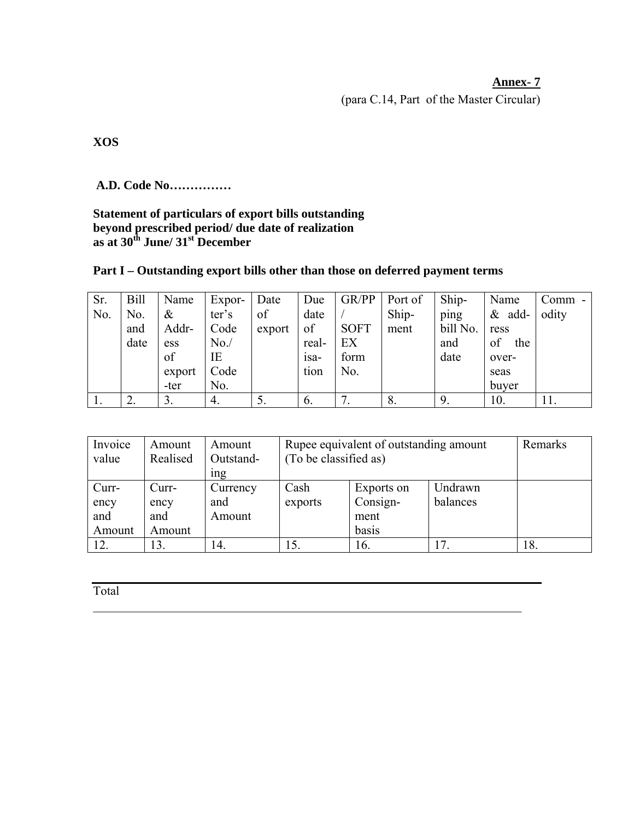# **Annex- 7**

(para C.14, Part of the Master Circular)

**XOS** 

 **A.D. Code No……………** 

# **Statement of particulars of export bills outstanding beyond prescribed period/ due date of realization as at 30th June/ 31st December**

| Sr. | <b>Bill</b> | Name            | Expor- | Date   | Due          | GR/PP       | Port of | Ship-    | Name      | $Comm -$ |
|-----|-------------|-----------------|--------|--------|--------------|-------------|---------|----------|-----------|----------|
| No. | No.         | $\&$            | ter's  | of     | date         |             | Ship-   | ping     | $&$ add-  | odity    |
|     | and         | Addr-           | Code   | export | of           | <b>SOFT</b> | ment    | bill No. | ress      |          |
|     | date        | ess             | No.    |        | real-        | EX          |         | and      | of<br>the |          |
|     |             | of              | IΕ     |        | $1$ Sa $-$   | form        |         | date     | over-     |          |
|     |             | export          | Code   |        | tion         | No.         |         |          | seas      |          |
|     |             | -ter            | No.    |        |              |             |         |          | buyer     |          |
|     |             | $\mathcal{I}$ . | 4.     |        | $\mathbf{b}$ |             | 8.      |          | 10.       | 11.      |

| Invoice<br>value               | Amount<br>Realised             | Amount<br>Outstand-<br><sub>1</sub> ng | Rupee equivalent of outstanding amount<br>(To be classified as) | Remarks                                 |                     |     |
|--------------------------------|--------------------------------|----------------------------------------|-----------------------------------------------------------------|-----------------------------------------|---------------------|-----|
| Curr-<br>ency<br>and<br>Amount | Curr-<br>ency<br>and<br>Amount | Currency<br>and<br>Amount              | Cash<br>exports                                                 | Exports on<br>Consign-<br>ment<br>basis | Undrawn<br>balances |     |
| 12.                            | 13.                            | 14.                                    | 15.                                                             | 16.                                     | 17                  | 18. |

 $\mathcal{L}_\mathcal{L} = \mathcal{L}_\mathcal{L} = \mathcal{L}_\mathcal{L} = \mathcal{L}_\mathcal{L} = \mathcal{L}_\mathcal{L} = \mathcal{L}_\mathcal{L} = \mathcal{L}_\mathcal{L} = \mathcal{L}_\mathcal{L} = \mathcal{L}_\mathcal{L} = \mathcal{L}_\mathcal{L} = \mathcal{L}_\mathcal{L} = \mathcal{L}_\mathcal{L} = \mathcal{L}_\mathcal{L} = \mathcal{L}_\mathcal{L} = \mathcal{L}_\mathcal{L} = \mathcal{L}_\mathcal{L} = \mathcal{L}_\mathcal{L}$ 

Total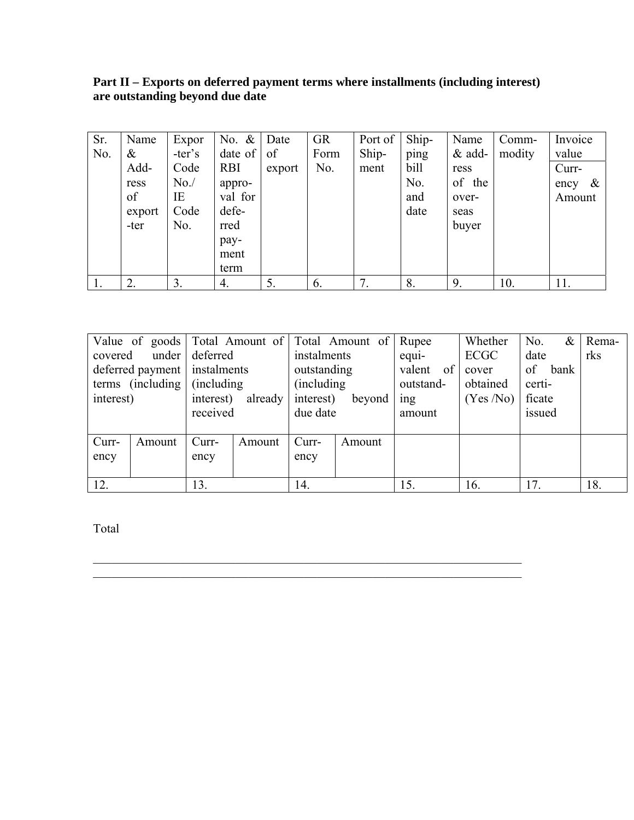### **Part II – Exports on deferred payment terms where installments (including interest) are outstanding beyond due date**

| Sr. | Name   | Expor    | No. $\&$ Date |        | <b>GR</b> | Port of | Ship- | Name     | Comm-  | Invoice      |
|-----|--------|----------|---------------|--------|-----------|---------|-------|----------|--------|--------------|
| No. | &      | $-ter's$ | $date$ of     | of     | Form      | Ship-   | ping  | $&$ add- | modity | value        |
|     | Add-   | Code     | <b>RBI</b>    | export | No.       | ment    | bill  | ress     |        | Curr-        |
|     | ress   | No.      | appro-        |        |           |         | No.   | of the   |        | $\&$<br>ency |
|     | of     | IE       | val for       |        |           |         | and   | over-    |        | Amount       |
|     | export | Code     | defe-         |        |           |         | date  | seas     |        |              |
|     | -ter   | No.      | rred          |        |           |         |       | buyer    |        |              |
|     |        |          | pay-          |        |           |         |       |          |        |              |
|     |        |          | ment          |        |           |         |       |          |        |              |
|     |        |          | term          |        |           |         |       |          |        |              |
|     | 2.     | 3.       | 4.            | 5.     | 6.        |         | 8.    | 9.       | 10.    | 11.          |

|                                  |        |           |             |             | Value of goods Total Amount of Total Amount of | Rupee         | Whether  | $\&$<br>No. | Rema- |
|----------------------------------|--------|-----------|-------------|-------------|------------------------------------------------|---------------|----------|-------------|-------|
| under<br>deferred<br>covered     |        |           | instalments |             | equi-                                          | ECGC          | date     | rks         |       |
| instalments<br>deferred payment  |        |           |             | outstanding |                                                | of<br>valent  | cover    | of<br>bank  |       |
| terms (including)<br>(including) |        |           |             | (including) |                                                | outstand-     | obtained | certi-      |       |
| interest)                        |        | interest) | already     | interest)   | beyond                                         | $\frac{1}{2}$ | (Yes/No) | ficate      |       |
|                                  |        | received  |             | due date    |                                                | amount        |          | issued      |       |
|                                  |        |           |             |             |                                                |               |          |             |       |
| Curr-                            | Amount | Curr-     | Amount      | Curr-       | Amount                                         |               |          |             |       |
| ency                             |        | ency      |             | ency        |                                                |               |          |             |       |
|                                  |        |           |             |             |                                                |               |          |             |       |
| 12.                              |        | 13.       |             | 14.         |                                                | 15.           | 16.      | 17.         | 18.   |

 $\mathcal{L}_\mathcal{L} = \mathcal{L}_\mathcal{L} = \mathcal{L}_\mathcal{L} = \mathcal{L}_\mathcal{L} = \mathcal{L}_\mathcal{L} = \mathcal{L}_\mathcal{L} = \mathcal{L}_\mathcal{L} = \mathcal{L}_\mathcal{L} = \mathcal{L}_\mathcal{L} = \mathcal{L}_\mathcal{L} = \mathcal{L}_\mathcal{L} = \mathcal{L}_\mathcal{L} = \mathcal{L}_\mathcal{L} = \mathcal{L}_\mathcal{L} = \mathcal{L}_\mathcal{L} = \mathcal{L}_\mathcal{L} = \mathcal{L}_\mathcal{L}$  $\mathcal{L}_\mathcal{L} = \mathcal{L}_\mathcal{L} = \mathcal{L}_\mathcal{L} = \mathcal{L}_\mathcal{L} = \mathcal{L}_\mathcal{L} = \mathcal{L}_\mathcal{L} = \mathcal{L}_\mathcal{L} = \mathcal{L}_\mathcal{L} = \mathcal{L}_\mathcal{L} = \mathcal{L}_\mathcal{L} = \mathcal{L}_\mathcal{L} = \mathcal{L}_\mathcal{L} = \mathcal{L}_\mathcal{L} = \mathcal{L}_\mathcal{L} = \mathcal{L}_\mathcal{L} = \mathcal{L}_\mathcal{L} = \mathcal{L}_\mathcal{L}$ 

Total